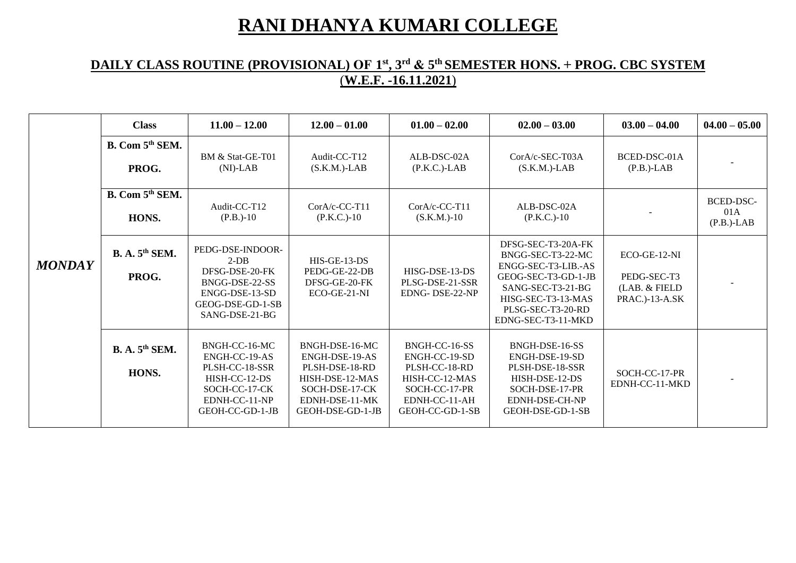## **RANI DHANYA KUMARI COLLEGE**

## **DAILY CLASS ROUTINE (PROVISIONAL) OF 1 st, 3rd & 5 th SEMESTER HONS. + PROG. CBC SYSTEM** (**W.E.F. -16.11.2021**)

|               | <b>Class</b>                         | $11.00 - 12.00$                                                                                                        | $12.00 - 01.00$                                                                                                               | $01.00 - 02.00$                                                                                                        | $02.00 - 03.00$                                                                                                                                                             | $03.00 - 04.00$                                                  | $04.00 - 05.00$                          |
|---------------|--------------------------------------|------------------------------------------------------------------------------------------------------------------------|-------------------------------------------------------------------------------------------------------------------------------|------------------------------------------------------------------------------------------------------------------------|-----------------------------------------------------------------------------------------------------------------------------------------------------------------------------|------------------------------------------------------------------|------------------------------------------|
| <b>MONDAY</b> | B. Com 5 <sup>th</sup> SEM.<br>PROG. | BM & Stat-GE-T01<br>$(NI)-LAB$                                                                                         | Audit-CC-T12<br>$(S.K.M.)$ -LAB                                                                                               | ALB-DSC-02A<br>$(P.K.C.)$ -LAB                                                                                         | CorA/c-SEC-T03A<br>$(S.K.M.)$ -LAB                                                                                                                                          | BCED-DSC-01A<br>$(P.B.)$ -LAB                                    |                                          |
|               | B. Com 5 <sup>th</sup> SEM.<br>HONS. | Audit-CC-T12<br>$(P.B.)-10$                                                                                            | CorA/c-CC-T11<br>$(P.K.C.)-10$                                                                                                | CorA/c-CC-T11<br>$(S.K.M.)-10$                                                                                         | ALB-DSC-02A<br>$(P.K.C.)-10$                                                                                                                                                |                                                                  | <b>BCED-DSC-</b><br>01A<br>$(P.B.)$ -LAB |
|               | <b>B. A. 5th SEM.</b><br>PROG.       | PEDG-DSE-INDOOR-<br>$2-DB$<br>DFSG-DSE-20-FK<br>BNGG-DSE-22-SS<br>ENGG-DSE-13-SD<br>GEOG-DSE-GD-1-SB<br>SANG-DSE-21-BG | $HIS-GE-13-DS$<br>PEDG-GE-22-DB<br>DFSG-GE-20-FK<br>ECO-GE-21-NI                                                              | HISG-DSE-13-DS<br>PLSG-DSE-21-SSR<br>EDNG-DSE-22-NP                                                                    | DFSG-SEC-T3-20A-FK<br>BNGG-SEC-T3-22-MC<br>ENGG-SEC-T3-LIB.-AS<br>GEOG-SEC-T3-GD-1-JB<br>SANG-SEC-T3-21-BG<br>HISG-SEC-T3-13-MAS<br>PLSG-SEC-T3-20-RD<br>EDNG-SEC-T3-11-MKD | $ECO-GE-12-NI$<br>PEDG-SEC-T3<br>(LAB. & FIELD<br>PRAC.)-13-A.SK |                                          |
|               | B. A. 5 <sup>th</sup> SEM.<br>HONS.  | BNGH-CC-16-MC<br>ENGH-CC-19-AS<br>PLSH-CC-18-SSR<br>HISH-CC-12-DS<br>SOCH-CC-17-CK<br>EDNH-CC-11-NP<br>GEOH-CC-GD-1-JB | BNGH-DSE-16-MC<br>ENGH-DSE-19-AS<br>PLSH-DSE-18-RD<br>HISH-DSE-12-MAS<br>SOCH-DSE-17-CK<br>EDNH-DSE-11-MK<br>GEOH-DSE-GD-1-JB | BNGH-CC-16-SS<br>ENGH-CC-19-SD<br>PLSH-CC-18-RD<br>HISH-CC-12-MAS<br>SOCH-CC-17-PR<br>EDNH-CC-11-AH<br>GEOH-CC-GD-1-SB | BNGH-DSE-16-SS<br>ENGH-DSE-19-SD<br>PLSH-DSE-18-SSR<br>HISH-DSE-12-DS<br>SOCH-DSE-17-PR<br>EDNH-DSE-CH-NP<br>GEOH-DSE-GD-1-SB                                               | SOCH-CC-17-PR<br>EDNH-CC-11-MKD                                  |                                          |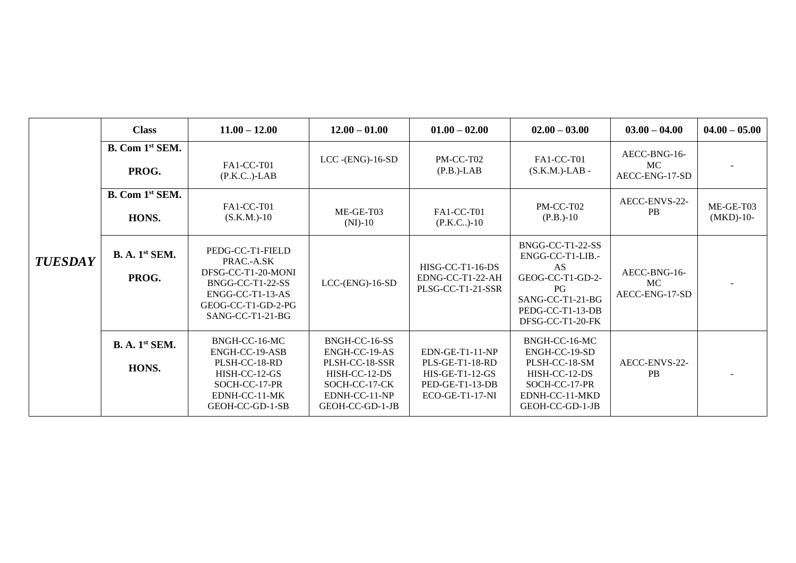|                | <b>Class</b>                               | $11.00 - 12.00$                                                                                                                          | $12.00 - 01.00$                                                                                                        | $01.00 - 02.00$                                                                               | $02.00 - 03.00$                                                                                                                   | $03.00 - 04.00$                             | $04.00 - 05.00$          |
|----------------|--------------------------------------------|------------------------------------------------------------------------------------------------------------------------------------------|------------------------------------------------------------------------------------------------------------------------|-----------------------------------------------------------------------------------------------|-----------------------------------------------------------------------------------------------------------------------------------|---------------------------------------------|--------------------------|
| <b>TUESDAY</b> | B. Com 1st SEM.<br>PROG.                   | FA1-CC-T01<br>$(P.K.C.)$ -LAB                                                                                                            | $LCC$ -(ENG)-16-SD                                                                                                     | PM-CC-T02<br>$(P.B.)$ -LAB                                                                    | FA1-CC-T01<br>$(S.K.M.)$ -LAB-                                                                                                    | AECC-BNG-16-<br><b>MC</b><br>AECC-ENG-17-SD |                          |
|                | B. Com 1 <sup>st</sup> SEM.<br>HONS.       | FA1-CC-T01<br>$(S.K.M.)-10$                                                                                                              | $ME-GE-T03$<br>$(NI)-10$                                                                                               | FA1-CC-T01<br>$(P.K.C.)-10$                                                                   | PM-CC-T02<br>$(P.B.)-10$                                                                                                          | AECC-ENVS-22-<br><b>PB</b>                  | ME-GE-T03<br>$(MKD)-10-$ |
|                | <b>B. A.</b> 1 <sup>st</sup> SEM.<br>PROG. | PEDG-CC-T1-FIELD<br>PRAC .- A.SK<br>DFSG-CC-T1-20-MONI<br>BNGG-CC-T1-22-SS<br>ENGG-CC-T1-13-AS<br>GEOG-CC-T1-GD-2-PG<br>SANG-CC-T1-21-BG | $LCC$ - $(ENG)$ -16-SD                                                                                                 | HISG-CC-T1-16-DS<br>EDNG-CC-T1-22-AH<br>PLSG-CC-T1-21-SSR                                     | BNGG-CC-T1-22-SS<br>ENGG-CC-T1-LIB.-<br>AS.<br>GEOG-CC-T1-GD-2-<br>PG<br>SANG-CC-T1-21-BG<br>PEDG-CC-T1-13-DB<br>DFSG-CC-T1-20-FK | AECC-BNG-16-<br>MC<br>AECC-ENG-17-SD        |                          |
|                | B. A. 1 <sup>st</sup> SEM.<br>HONS.        | BNGH-CC-16-MC<br>ENGH-CC-19-ASB<br>PLSH-CC-18-RD<br>HISH-CC-12-GS<br>SOCH-CC-17-PR<br>EDNH-CC-11-MK<br>GEOH-CC-GD-1-SB                   | BNGH-CC-16-SS<br>ENGH-CC-19-AS<br>PLSH-CC-18-SSR<br>HISH-CC-12-DS<br>SOCH-CC-17-CK<br>EDNH-CC-11-NP<br>GEOH-CC-GD-1-JB | EDN-GE-T1-11-NP<br>PLS-GE-T1-18-RD<br>HIS-GE-T1-12-GS<br>PED-GE-T1-13-DB<br>$ECO-GE-T1-17-NI$ | BNGH-CC-16-MC<br>ENGH-CC-19-SD<br>PLSH-CC-18-SM<br>HISH-CC-12-DS<br>SOCH-CC-17-PR<br>EDNH-CC-11-MKD<br>GEOH-CC-GD-1-JB            | AECC-ENVS-22-<br><b>PB</b>                  |                          |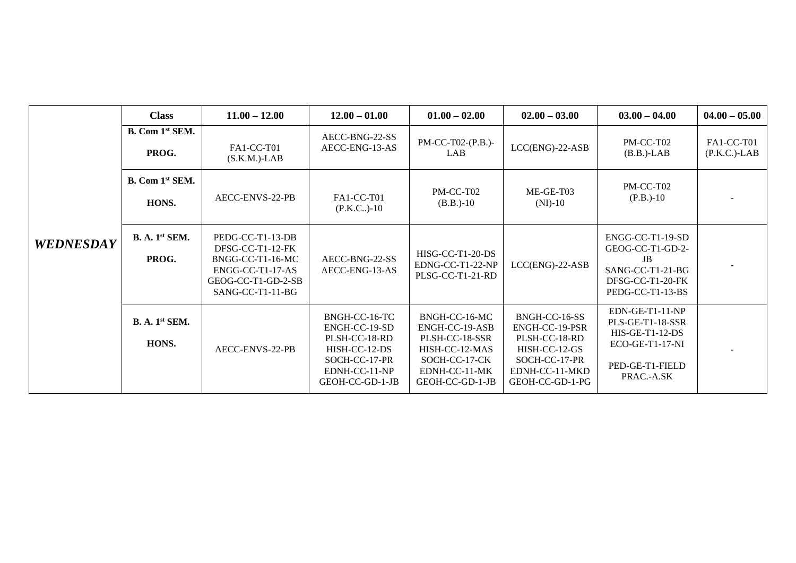|                  | <b>Class</b>                               | $11.00 - 12.00$                                                                                                        | $12.00 - 01.00$                                                                                                       | $01.00 - 02.00$                                                                                                          | $02.00 - 03.00$                                                                                                         | $03.00 - 04.00$                                                                                                | $04.00 - 05.00$               |
|------------------|--------------------------------------------|------------------------------------------------------------------------------------------------------------------------|-----------------------------------------------------------------------------------------------------------------------|--------------------------------------------------------------------------------------------------------------------------|-------------------------------------------------------------------------------------------------------------------------|----------------------------------------------------------------------------------------------------------------|-------------------------------|
|                  | B. Com 1st SEM.<br>PROG.                   | FA1-CC-T01<br>$(S.K.M.)$ -LAB                                                                                          | AECC-BNG-22-SS<br>AECC-ENG-13-AS                                                                                      | PM-CC-T02-(P.B.)-<br><b>LAB</b>                                                                                          | $LCC(ENG)-22-ASB$                                                                                                       | PM-CC-T02<br>$(B.B.)$ -LAB                                                                                     | FA1-CC-T01<br>$(P.K.C.)$ -LAB |
|                  | B. Com 1 <sup>st</sup> SEM.<br>HONS.       | AECC-ENVS-22-PB                                                                                                        | FA1-CC-T01<br>$(P.K.C.)-10$                                                                                           | PM-CC-T02<br>$(B.B.)-10$                                                                                                 | ME-GE-T03<br>$(NI)-10$                                                                                                  | PM-CC-T02<br>$(P.B.)-10$                                                                                       |                               |
| <b>WEDNESDAY</b> | B. A. 1 <sup>st</sup> SEM.<br>PROG.        | PEDG-CC-T1-13-DB<br>DFSG-CC-T1-12-FK<br>BNGG-CC-T1-16-MC<br>ENGG-CC-T1-17-AS<br>GEOG-CC-T1-GD-2-SB<br>SANG-CC-T1-11-BG | AECC-BNG-22-SS<br>AECC-ENG-13-AS                                                                                      | HISG-CC-T1-20-DS<br>EDNG-CC-T1-22-NP<br>PLSG-CC-T1-21-RD                                                                 | $LCC(ENG)-22-ASB$                                                                                                       | ENGG-CC-T1-19-SD<br>GEOG-CC-T1-GD-2-<br>JB<br>SANG-CC-T1-21-BG<br>DFSG-CC-T1-20-FK<br>PEDG-CC-T1-13-BS         |                               |
|                  | <b>B. A.</b> 1 <sup>st</sup> SEM.<br>HONS. | AECC-ENVS-22-PB                                                                                                        | BNGH-CC-16-TC<br>ENGH-CC-19-SD<br>PLSH-CC-18-RD<br>HISH-CC-12-DS<br>SOCH-CC-17-PR<br>EDNH-CC-11-NP<br>GEOH-CC-GD-1-JB | BNGH-CC-16-MC<br>ENGH-CC-19-ASB<br>PLSH-CC-18-SSR<br>HISH-CC-12-MAS<br>SOCH-CC-17-CK<br>EDNH-CC-11-MK<br>GEOH-CC-GD-1-JB | BNGH-CC-16-SS<br>ENGH-CC-19-PSR<br>PLSH-CC-18-RD<br>HISH-CC-12-GS<br>SOCH-CC-17-PR<br>EDNH-CC-11-MKD<br>GEOH-CC-GD-1-PG | EDN-GE-T1-11-NP<br>PLS-GE-T1-18-SSR<br>$HIS-GE-T1-12-DS$<br>ECO-GE-T1-17-NI<br>PED-GE-T1-FIELD<br>PRAC .- A.SK |                               |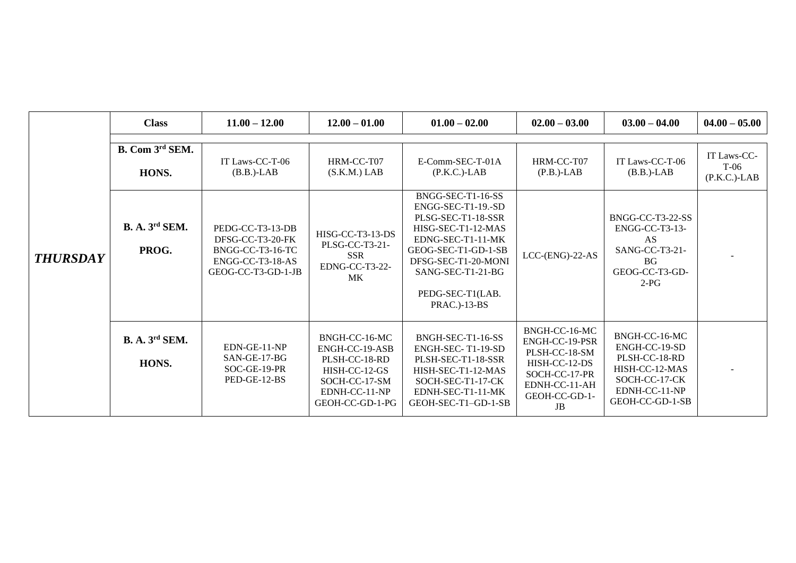|                 | <b>Class</b>                   | $11.00 - 12.00$                                                                                    | $12.00 - 01.00$                                                                                                        | $01.00 - 02.00$                                                                                                                                                                                                           | $02.00 - 03.00$                                                                                                            | $03.00 - 04.00$                                                                                                        | $04.00 - 05.00$                          |
|-----------------|--------------------------------|----------------------------------------------------------------------------------------------------|------------------------------------------------------------------------------------------------------------------------|---------------------------------------------------------------------------------------------------------------------------------------------------------------------------------------------------------------------------|----------------------------------------------------------------------------------------------------------------------------|------------------------------------------------------------------------------------------------------------------------|------------------------------------------|
|                 | B. Com 3rd SEM.<br>HONS.       | IT Laws-CC-T-06<br>$(B.B.)$ -LAB                                                                   | HRM-CC-T07<br>$(S.K.M.)$ LAB                                                                                           | E-Comm-SEC-T-01A<br>$(P.K.C.)$ -LAB                                                                                                                                                                                       | HRM-CC-T07<br>$(P.B.)$ -LAB                                                                                                | IT Laws-CC-T-06<br>$(B.B.)$ -LAB                                                                                       | IT Laws-CC-<br>$T-06$<br>$(P.K.C.)$ -LAB |
| <b>THURSDAY</b> | <b>B. A. 3rd SEM.</b><br>PROG. | PEDG-CC-T3-13-DB<br>DFSG-CC-T3-20-FK<br>BNGG-CC-T3-16-TC<br>ENGG-CC-T3-18-AS<br>GEOG-CC-T3-GD-1-JB | HISG-CC-T3-13-DS<br>PLSG-CC-T3-21-<br><b>SSR</b><br>EDNG-CC-T3-22-<br><b>MK</b>                                        | BNGG-SEC-T1-16-SS<br>ENGG-SEC-T1-19.-SD<br>PLSG-SEC-T1-18-SSR<br>HISG-SEC-T1-12-MAS<br>EDNG-SEC-T1-11-MK<br>GEOG-SEC-T1-GD-1-SB<br>DFSG-SEC-T1-20-MONI<br>$SANG-SEC-T1-21-BG$<br>PEDG-SEC-T1(LAB.<br><b>PRAC.</b> )-13-BS | $LCC$ - $(ENG)$ -22-AS                                                                                                     | BNGG-CC-T3-22-SS<br>ENGG-CC-T3-13-<br>AS<br>SANG-CC-T3-21-<br>BG<br>GEOG-CC-T3-GD-<br>$2-PG$                           |                                          |
|                 | <b>B. A. 3rd SEM.</b><br>HONS. | EDN-GE-11-NP<br>SAN-GE-17-BG<br>SOC-GE-19-PR<br>PED-GE-12-BS                                       | BNGH-CC-16-MC<br>ENGH-CC-19-ASB<br>PLSH-CC-18-RD<br>HISH-CC-12-GS<br>SOCH-CC-17-SM<br>EDNH-CC-11-NP<br>GEOH-CC-GD-1-PG | BNGH-SEC-T1-16-SS<br>ENGH-SEC-T1-19-SD<br>PLSH-SEC-T1-18-SSR<br>HISH-SEC-T1-12-MAS<br>SOCH-SEC-T1-17-CK<br>EDNH-SEC-T1-11-MK<br>GEOH-SEC-T1-GD-1-SB                                                                       | BNGH-CC-16-MC<br>ENGH-CC-19-PSR<br>PLSH-CC-18-SM<br>HISH-CC-12-DS<br>SOCH-CC-17-PR<br>EDNH-CC-11-AH<br>GEOH-CC-GD-1-<br>JB | BNGH-CC-16-MC<br>ENGH-CC-19-SD<br>PLSH-CC-18-RD<br>HISH-CC-12-MAS<br>SOCH-CC-17-CK<br>EDNH-CC-11-NP<br>GEOH-CC-GD-1-SB |                                          |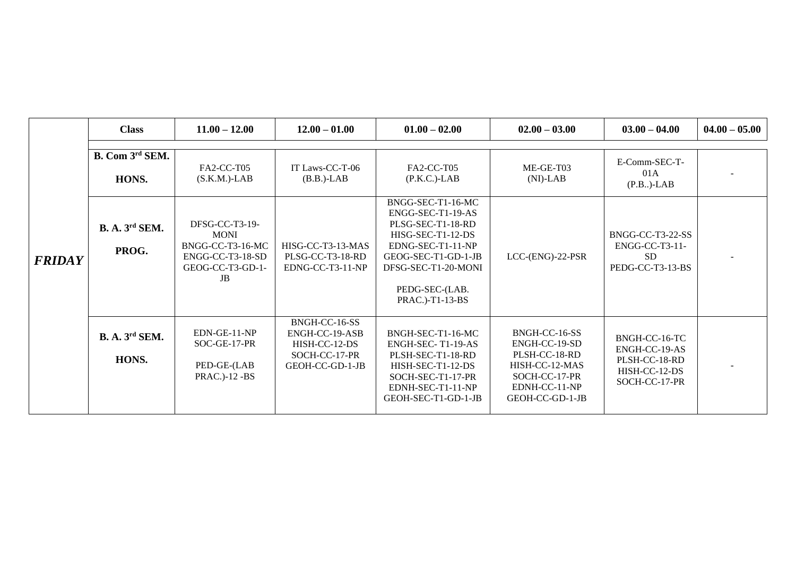|               | <b>Class</b>                   | $11.00 - 12.00$                                                                                          | $12.00 - 01.00$                                                                      | $01.00 - 02.00$                                                                                                                                                                          | $02.00 - 03.00$                                                                                                        | $03.00 - 04.00$                                                                   | $04.00 - 05.00$ |
|---------------|--------------------------------|----------------------------------------------------------------------------------------------------------|--------------------------------------------------------------------------------------|------------------------------------------------------------------------------------------------------------------------------------------------------------------------------------------|------------------------------------------------------------------------------------------------------------------------|-----------------------------------------------------------------------------------|-----------------|
| <b>FRIDAY</b> |                                |                                                                                                          |                                                                                      |                                                                                                                                                                                          |                                                                                                                        |                                                                                   |                 |
|               | B. Com 3rd SEM.                | FA2-CC-T05                                                                                               | IT Laws-CC-T-06                                                                      | FA2-CC-T05                                                                                                                                                                               | ME-GE-T03                                                                                                              | E-Comm-SEC-T-                                                                     |                 |
|               | HONS.                          | $(S.K.M.)$ -LAB                                                                                          | $(B.B.)$ -LAB                                                                        | $(P.K.C.)$ -LAB                                                                                                                                                                          | $(NI)-LAB$                                                                                                             | 01A<br>$(P.B.)$ -LAB                                                              |                 |
|               | <b>B. A. 3rd SEM.</b><br>PROG. | DFSG-CC-T3-19-<br><b>MONI</b><br>BNGG-CC-T3-16-MC<br>ENGG-CC-T3-18-SD<br>GEOG-CC-T3-GD-1-<br>$_{\rm JB}$ | HISG-CC-T3-13-MAS<br>PLSG-CC-T3-18-RD<br>EDNG-CC-T3-11-NP                            | BNGG-SEC-T1-16-MC<br>ENGG-SEC-T1-19-AS<br>PLSG-SEC-T1-18-RD<br>HISG-SEC-T1-12-DS<br>EDNG-SEC-T1-11-NP<br>GEOG-SEC-T1-GD-1-JB<br>DFSG-SEC-T1-20-MONI<br>PEDG-SEC-(LAB.<br>PRAC.)-T1-13-BS | $LCC$ - $(ENG)$ -22- $PSR$                                                                                             | BNGG-CC-T3-22-SS<br>ENGG-CC-T3-11-<br><b>SD</b><br>PEDG-CC-T3-13-BS               |                 |
|               | <b>B. A. 3rd SEM.</b><br>HONS. | EDN-GE-11-NP<br>SOC-GE-17-PR<br>PED-GE-(LAB<br><b>PRAC.</b> )-12 -BS                                     | BNGH-CC-16-SS<br>ENGH-CC-19-ASB<br>HISH-CC-12-DS<br>SOCH-CC-17-PR<br>GEOH-CC-GD-1-JB | BNGH-SEC-T1-16-MC<br>ENGH-SEC-T1-19-AS<br>PLSH-SEC-T1-18-RD<br>HISH-SEC-T1-12-DS<br>SOCH-SEC-T1-17-PR<br>EDNH-SEC-T1-11-NP<br>GEOH-SEC-T1-GD-1-JB                                        | BNGH-CC-16-SS<br>ENGH-CC-19-SD<br>PLSH-CC-18-RD<br>HISH-CC-12-MAS<br>SOCH-CC-17-PR<br>EDNH-CC-11-NP<br>GEOH-CC-GD-1-JB | BNGH-CC-16-TC<br>ENGH-CC-19-AS<br>PLSH-CC-18-RD<br>HISH-CC-12-DS<br>SOCH-CC-17-PR |                 |